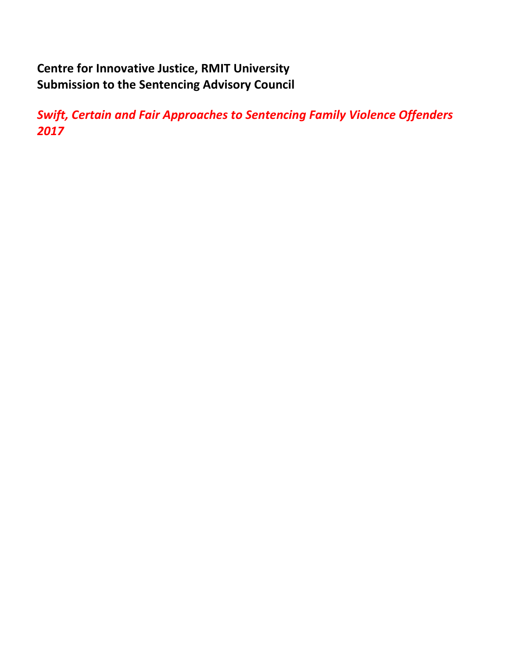# **Centre for Innovative Justice, RMIT University Submission to the Sentencing Advisory Council**

*Swift, Certain and Fair Approaches to Sentencing Family Violence Offenders 2017*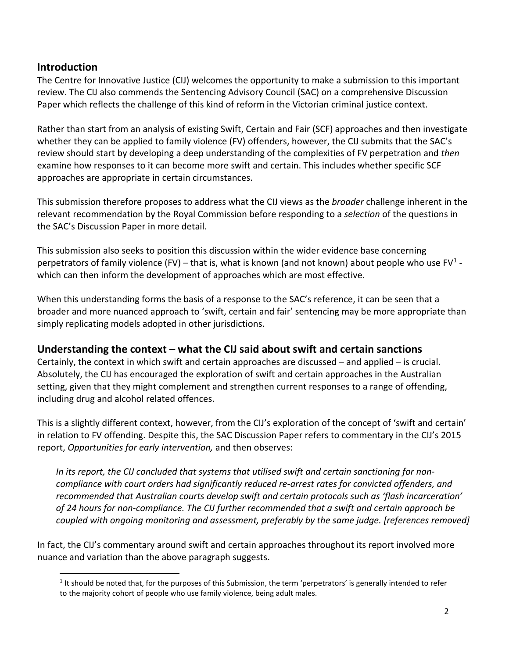## **Introduction**

 $\overline{\phantom{a}}$ 

The Centre for Innovative Justice (CIJ) welcomes the opportunity to make a submission to this important review. The CIJ also commends the Sentencing Advisory Council (SAC) on a comprehensive Discussion Paper which reflects the challenge of this kind of reform in the Victorian criminal justice context.

Rather than start from an analysis of existing Swift, Certain and Fair (SCF) approaches and then investigate whether they can be applied to family violence (FV) offenders, however, the CIJ submits that the SAC's review should start by developing a deep understanding of the complexities of FV perpetration and *then* examine how responses to it can become more swift and certain. This includes whether specific SCF approaches are appropriate in certain circumstances.

This submission therefore proposes to address what the CIJ views as the *broader* challenge inherent in the relevant recommendation by the Royal Commission before responding to a *selection* of the questions in the SAC's Discussion Paper in more detail.

This submission also seeks to position this discussion within the wider evidence base concerning perpetrators of family violence (FV) – that is, what is known (and not known) about people who use FV<sup>[1](#page-1-0)</sup> which can then inform the development of approaches which are most effective.

When this understanding forms the basis of a response to the SAC's reference, it can be seen that a broader and more nuanced approach to 'swift, certain and fair' sentencing may be more appropriate than simply replicating models adopted in other jurisdictions.

## **Understanding the context – what the CIJ said about swift and certain sanctions**

Certainly, the context in which swift and certain approaches are discussed – and applied – is crucial. Absolutely, the CIJ has encouraged the exploration of swift and certain approaches in the Australian setting, given that they might complement and strengthen current responses to a range of offending, including drug and alcohol related offences.

This is a slightly different context, however, from the CIJ's exploration of the concept of 'swift and certain' in relation to FV offending. Despite this, the SAC Discussion Paper refers to commentary in the CIJ's 2015 report, *Opportunities for early intervention,* and then observes:

*In its report, the CIJ concluded that systems that utilised swift and certain sanctioning for noncompliance with court orders had significantly reduced re-arrest rates for convicted offenders, and recommended that Australian courts develop swift and certain protocols such as 'flash incarceration' of 24 hours for non-compliance. The CIJ further recommended that a swift and certain approach be coupled with ongoing monitoring and assessment, preferably by the same judge. [references removed]*

<span id="page-1-0"></span>In fact, the CIJ's commentary around swift and certain approaches throughout its report involved more nuance and variation than the above paragraph suggests.

 $1$  It should be noted that, for the purposes of this Submission, the term 'perpetrators' is generally intended to refer to the majority cohort of people who use family violence, being adult males.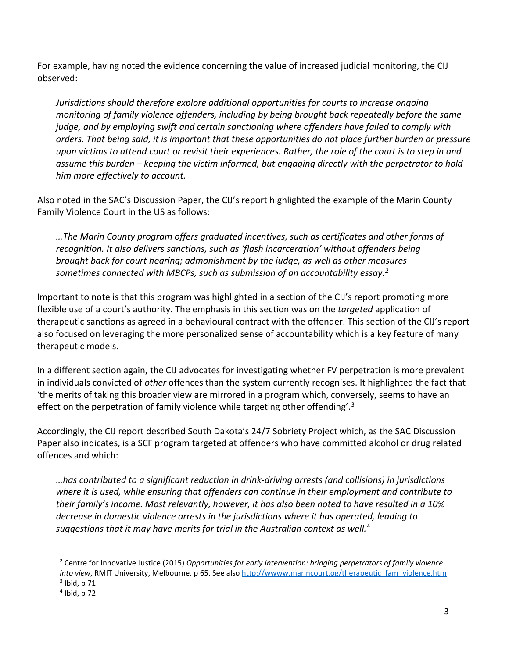For example, having noted the evidence concerning the value of increased judicial monitoring, the CIJ observed:

*Jurisdictions should therefore explore additional opportunities for courts to increase ongoing monitoring of family violence offenders, including by being brought back repeatedly before the same judge, and by employing swift and certain sanctioning where offenders have failed to comply with orders. That being said, it is important that these opportunities do not place further burden or pressure upon victims to attend court or revisit their experiences. Rather, the role of the court is to step in and assume this burden – keeping the victim informed, but engaging directly with the perpetrator to hold him more effectively to account.* 

Also noted in the SAC's Discussion Paper, the CIJ's report highlighted the example of the Marin County Family Violence Court in the US as follows:

*…The Marin County program offers graduated incentives, such as certificates and other forms of recognition. It also delivers sanctions, such as 'flash incarceration' without offenders being brought back for court hearing; admonishment by the judge, as well as other measures sometimes connected with MBCPs, such as submission of an accountability essay.[2](#page-2-0)*

Important to note is that this program was highlighted in a section of the CIJ's report promoting more flexible use of a court's authority. The emphasis in this section was on the *targeted* application of therapeutic sanctions as agreed in a behavioural contract with the offender. This section of the CIJ's report also focused on leveraging the more personalized sense of accountability which is a key feature of many therapeutic models.

In a different section again, the CIJ advocates for investigating whether FV perpetration is more prevalent in individuals convicted of *other* offences than the system currently recognises. It highlighted the fact that 'the merits of taking this broader view are mirrored in a program which, conversely, seems to have an effect on the perpetration of family violence while targeting other offending'.<sup>[3](#page-2-1)</sup>

Accordingly, the CIJ report described South Dakota's 24/7 Sobriety Project which, as the SAC Discussion Paper also indicates, is a SCF program targeted at offenders who have committed alcohol or drug related offences and which:

*…has contributed to a significant reduction in drink-driving arrests (and collisions) in jurisdictions where it is used, while ensuring that offenders can continue in their employment and contribute to their family's income. Most relevantly, however, it has also been noted to have resulted in a 10% decrease in domestic violence arrests in the jurisdictions where it has operated, leading to suggestions that it may have merits for trial in the Australian context as well.* [4](#page-2-2)

<span id="page-2-0"></span><sup>2</sup> Centre for Innovative Justice (2015) *Opportunities for early Intervention: bringing perpetrators of family violence into view*, RMIT University, Melbourne. p 65. See also [http://wwww.marincourt.og/therapeutic\\_fam\\_violence.htm](http://wwww.marincourt.og/therapeutic_fam_violence.htm)

<span id="page-2-1"></span> $3$  Ibid, p 71

<span id="page-2-2"></span> $<sup>4</sup>$  Ibid, p 72</sup>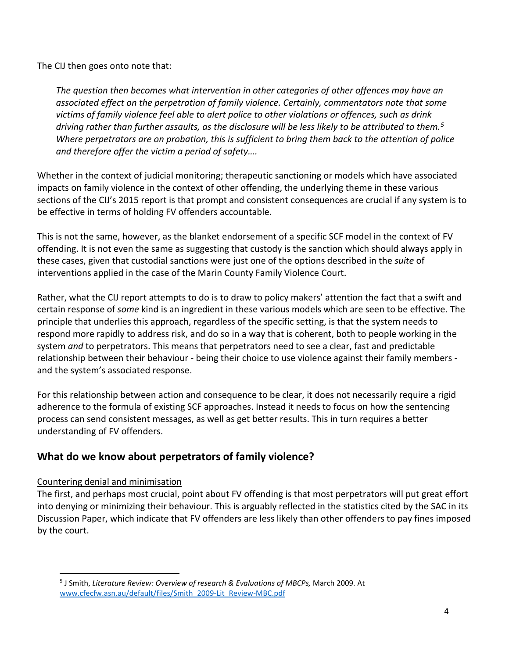The CIJ then goes onto note that:

*The question then becomes what intervention in other categories of other offences may have an associated effect on the perpetration of family violence. Certainly, commentators note that some victims of family violence feel able to alert police to other violations or offences, such as drink driving rather than further assaults, as the disclosure will be less likely to be attributed to them.[5](#page-3-0) Where perpetrators are on probation, this is sufficient to bring them back to the attention of police and therefore offer the victim a period of safety….*

Whether in the context of judicial monitoring; therapeutic sanctioning or models which have associated impacts on family violence in the context of other offending, the underlying theme in these various sections of the CIJ's 2015 report is that prompt and consistent consequences are crucial if any system is to be effective in terms of holding FV offenders accountable.

This is not the same, however, as the blanket endorsement of a specific SCF model in the context of FV offending. It is not even the same as suggesting that custody is the sanction which should always apply in these cases, given that custodial sanctions were just one of the options described in the *suite* of interventions applied in the case of the Marin County Family Violence Court.

Rather, what the CIJ report attempts to do is to draw to policy makers' attention the fact that a swift and certain response of *some* kind is an ingredient in these various models which are seen to be effective. The principle that underlies this approach, regardless of the specific setting, is that the system needs to respond more rapidly to address risk, and do so in a way that is coherent, both to people working in the system *and* to perpetrators. This means that perpetrators need to see a clear, fast and predictable relationship between their behaviour - being their choice to use violence against their family members and the system's associated response.

For this relationship between action and consequence to be clear, it does not necessarily require a rigid adherence to the formula of existing SCF approaches. Instead it needs to focus on how the sentencing process can send consistent messages, as well as get better results. This in turn requires a better understanding of FV offenders.

# **What do we know about perpetrators of family violence?**

#### Countering denial and minimisation

 $\overline{\phantom{a}}$ 

The first, and perhaps most crucial, point about FV offending is that most perpetrators will put great effort into denying or minimizing their behaviour. This is arguably reflected in the statistics cited by the SAC in its Discussion Paper, which indicate that FV offenders are less likely than other offenders to pay fines imposed by the court.

<span id="page-3-0"></span><sup>5</sup> J Smith, *Literature Review: Overview of research & Evaluations of MBCPs,* March 2009. At [www.cfecfw.asn.au/default/files/Smith\\_2009-Lit\\_Review-MBC.pdf](http://www.cfecfw.asn.au/default/files/Smith_2009-Lit_Review-MBC.pdf)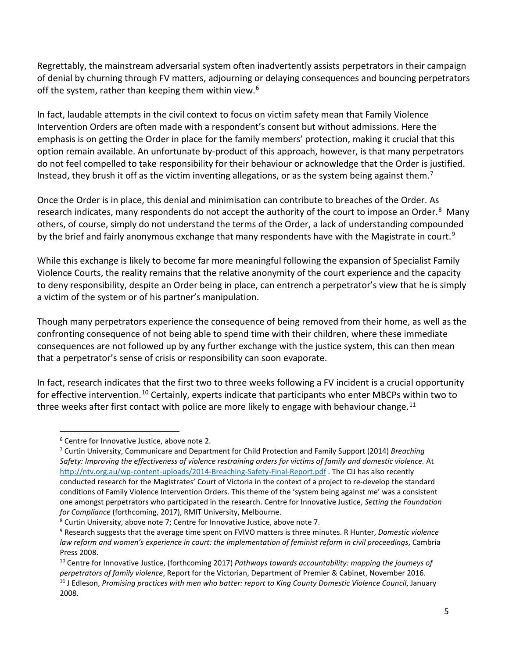Regrettably, the mainstream adversarial system often inadvertently assists perpetrators in their campaign of denial by churning through FV matters, adjourning or delaying consequences and bouncing perpetrators off the system, rather than keeping them within view.<sup>[6](#page-4-0)</sup>

In fact, laudable attempts in the civil context to focus on victim safety mean that Family Violence Intervention Orders are often made with a respondent's consent but without admissions. Here the emphasis is on getting the Order in place for the family members' protection, making it crucial that this option remain available. An unfortunate by-product of this approach, however, is that many perpetrators do not feel compelled to take responsibility for their behaviour or acknowledge that the Order is justified. Instead, they brush it off as the victim inventing allegations, or as the system being against them.<sup>[7](#page-4-1)</sup>

Once the Order is in place, this denial and minimisation can contribute to breaches of the Order. As research indicates, many respondents do not accept the authority of the court to impose an Order.<sup>8</sup> Many others, of course, simply do not understand the terms of the Order, a lack of understanding compounded by the brief and fairly anonymous exchange that many respondents have with the Magistrate in court.<sup>9</sup>

While this exchange is likely to become far more meaningful following the expansion of Specialist Family Violence Courts, the reality remains that the relative anonymity of the court experience and the capacity to deny responsibility, despite an Order being in place, can entrench a perpetrator's view that he is simply a victim of the system or of his partner's manipulation.

Though many perpetrators experience the consequence of being removed from their home, as well as the confronting consequence of not being able to spend time with their children, where these immediate consequences are not followed up by any further exchange with the justice system, this can then mean that a perpetrator's sense of crisis or responsibility can soon evaporate.

In fact, research indicates that the first two to three weeks following a FV incident is a crucial opportunity for effective intervention.<sup>[10](#page-4-4)</sup> Certainly, experts indicate that participants who enter MBCPs within two to three weeks after first contact with police are more likely to engage with behaviour change.<sup>[11](#page-4-5)</sup>

 $\overline{\phantom{a}}$ 

<span id="page-4-1"></span><span id="page-4-0"></span><sup>&</sup>lt;sup>6</sup> Centre for Innovative Justice, above note 2.<br><sup>7</sup> Curtin University, Communicare and Department for Child Protection and Family Support (2014) *Breaching Safety: Improving the effectiveness of violence restraining orders for victims of family and domestic violence.* At <http://ntv.org.au/wp-content-uploads/2014-Breaching-Safety-Final-Report.pdf> . The CIJ has also recently conducted research for the Magistrates' Court of Victoria in the context of a project to re-develop the standard conditions of Family Violence Intervention Orders. This theme of the 'system being against me' was a consistent one amongst perpetrators who participated in the research. Centre for Innovative Justice, *Setting the Foundation for Compliance* (forthcoming, 2017), RMIT University, Melbourne.<br><sup>8</sup> Curtin University, above note 7; Centre for Innovative Justice, above note 7.

<span id="page-4-2"></span>

<span id="page-4-3"></span><sup>9</sup> Research suggests that the average time spent on FVIVO matters is three minutes. R Hunter, *Domestic violence law reform and women's experience in court: the implementation of feminist reform in civil proceedings*, Cambria Press 2008.

<span id="page-4-5"></span><span id="page-4-4"></span><sup>10</sup> Centre for Innovative Justice, (forthcoming 2017) *Pathways towards accountability: mapping the journeys of*  perpetrators of family violence, Report for the Victorian, Department of Premier & Cabinet, November 2016.<br><sup>11</sup> J Edleson, Promising practices with men who batter: report to King County Domestic Violence Council, January 2008.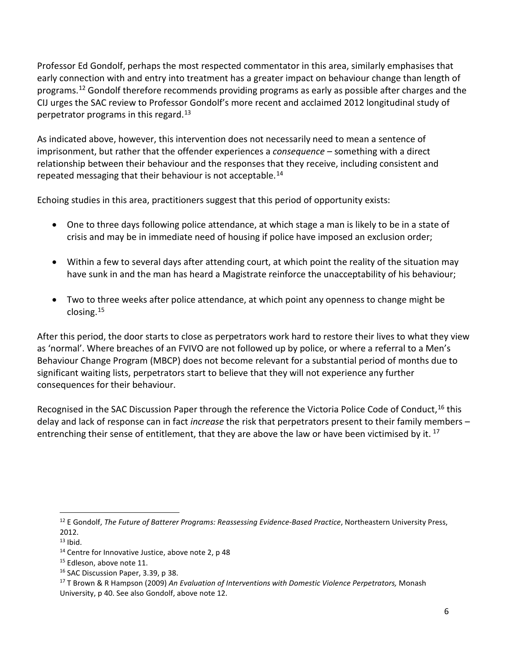Professor Ed Gondolf, perhaps the most respected commentator in this area, similarly emphasises that early connection with and entry into treatment has a greater impact on behaviour change than length of programs. [12](#page-5-0) Gondolf therefore recommends providing programs as early as possible after charges and the CIJ urges the SAC review to Professor Gondolf's more recent and acclaimed 2012 longitudinal study of perpetrator programs in this regard.<sup>[13](#page-5-1)</sup>

As indicated above, however, this intervention does not necessarily need to mean a sentence of imprisonment, but rather that the offender experiences a *consequence –* something with a direct relationship between their behaviour and the responses that they receive, including consistent and repeated messaging that their behaviour is not acceptable.<sup>[14](#page-5-2)</sup>

Echoing studies in this area, practitioners suggest that this period of opportunity exists:

- One to three days following police attendance, at which stage a man is likely to be in a state of crisis and may be in immediate need of housing if police have imposed an exclusion order;
- Within a few to several days after attending court, at which point the reality of the situation may have sunk in and the man has heard a Magistrate reinforce the unacceptability of his behaviour;
- Two to three weeks after police attendance, at which point any openness to change might be closing.[15](#page-5-3)

After this period, the door starts to close as perpetrators work hard to restore their lives to what they view as 'normal'. Where breaches of an FVIVO are not followed up by police, or where a referral to a Men's Behaviour Change Program (MBCP) does not become relevant for a substantial period of months due to significant waiting lists, perpetrators start to believe that they will not experience any further consequences for their behaviour.

Recognised in the SAC Discussion Paper through the reference the Victoria Police Code of Conduct, <sup>[16](#page-5-4)</sup> this delay and lack of response can in fact *increase* the risk that perpetrators present to their family members – entrenching their sense of entitlement, that they are above the law or have been victimised by it.  $^{17}$  $^{17}$  $^{17}$ 

<span id="page-5-0"></span><sup>12</sup> E Gondolf, *The Future of Batterer Programs: Reassessing Evidence-Based Practice*, Northeastern University Press, 2012. l

<span id="page-5-2"></span><span id="page-5-1"></span>

 $13$  Ibid.<br> $14$  Centre for Innovative Justice, above note 2, p 48

<span id="page-5-3"></span><sup>&</sup>lt;sup>15</sup> Edleson, above note 11.<br><sup>16</sup> SAC Discussion Paper, 3.39, p 38.

<span id="page-5-5"></span><span id="page-5-4"></span><sup>17</sup> T Brown & R Hampson (2009) *An Evaluation of Interventions with Domestic Violence Perpetrators,* Monash University, p 40. See also Gondolf, above note 12.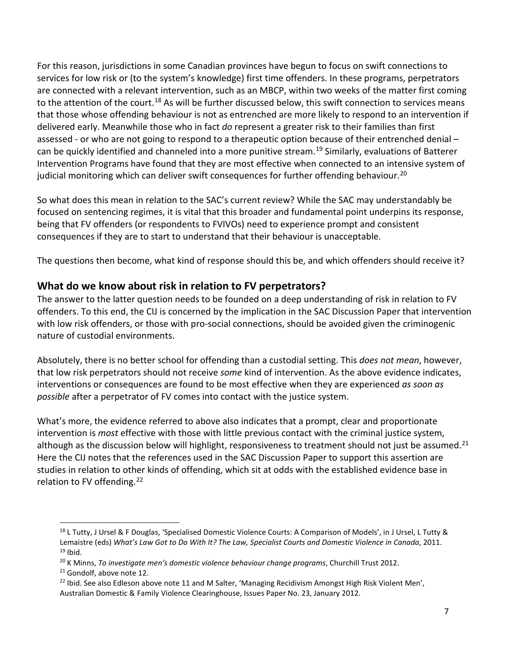For this reason, jurisdictions in some Canadian provinces have begun to focus on swift connections to services for low risk or (to the system's knowledge) first time offenders. In these programs, perpetrators are connected with a relevant intervention, such as an MBCP, within two weeks of the matter first coming to the attention of the court.<sup>[18](#page-6-0)</sup> As will be further discussed below, this swift connection to services means that those whose offending behaviour is not as entrenched are more likely to respond to an intervention if delivered early. Meanwhile those who in fact *do* represent a greater risk to their families than first assessed - or who are not going to respond to a therapeutic option because of their entrenched denial -can be quickly identified and channeled into a more punitive stream.<sup>[19](#page-6-1)</sup> Similarly, evaluations of Batterer Intervention Programs have found that they are most effective when connected to an intensive system of judicial monitoring which can deliver swift consequences for further offending behaviour.<sup>[20](#page-6-2)</sup>

So what does this mean in relation to the SAC's current review? While the SAC may understandably be focused on sentencing regimes, it is vital that this broader and fundamental point underpins its response, being that FV offenders (or respondents to FVIVOs) need to experience prompt and consistent consequences if they are to start to understand that their behaviour is unacceptable.

The questions then become, what kind of response should this be, and which offenders should receive it?

# **What do we know about risk in relation to FV perpetrators?**

The answer to the latter question needs to be founded on a deep understanding of risk in relation to FV offenders. To this end, the CIJ is concerned by the implication in the SAC Discussion Paper that intervention with low risk offenders, or those with pro-social connections, should be avoided given the criminogenic nature of custodial environments.

Absolutely, there is no better school for offending than a custodial setting. This *does not mean*, however, that low risk perpetrators should not receive *some* kind of intervention. As the above evidence indicates, interventions or consequences are found to be most effective when they are experienced *as soon as possible* after a perpetrator of FV comes into contact with the justice system.

What's more, the evidence referred to above also indicates that a prompt, clear and proportionate intervention is *most* effective with those with little previous contact with the criminal justice system, although as the discussion below will highlight, responsiveness to treatment should not just be assumed.<sup>[21](#page-6-3)</sup> Here the CIJ notes that the references used in the SAC Discussion Paper to support this assertion are studies in relation to other kinds of offending, which sit at odds with the established evidence base in relation to FV offending.<sup>[22](#page-6-4)</sup>

<span id="page-6-0"></span><sup>&</sup>lt;sup>18</sup> L Tutty, J Ursel & F Douglas, 'Specialised Domestic Violence Courts: A Comparison of Models', in J Ursel, L Tutty & Lemaistre (eds) What's Law Got to Do With It? The Law, Specialist Courts and Domestic Violence in Canada, 2011.<br><sup>19</sup> Ibid.<br><sup>20</sup> K Minns, To investigate men's domestic violence behaviour change programs, Churchill Trust 201

<span id="page-6-2"></span><span id="page-6-1"></span>

<span id="page-6-3"></span><sup>&</sup>lt;sup>21</sup> Gondolf, above note 12.

<span id="page-6-4"></span> $^{22}$  Ibid. See also Edleson above note 11 and M Salter, 'Managing Recidivism Amongst High Risk Violent Men', Australian Domestic & Family Violence Clearinghouse, Issues Paper No. 23, January 2012.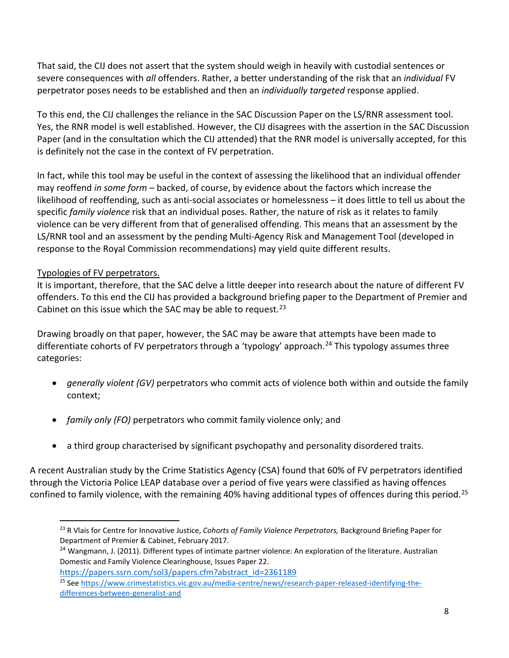That said, the CIJ does not assert that the system should weigh in heavily with custodial sentences or severe consequences with *all* offenders. Rather, a better understanding of the risk that an *individual* FV perpetrator poses needs to be established and then an *individually targeted* response applied.

To this end, the CIJ challenges the reliance in the SAC Discussion Paper on the LS/RNR assessment tool. Yes, the RNR model is well established. However, the CIJ disagrees with the assertion in the SAC Discussion Paper (and in the consultation which the CIJ attended) that the RNR model is universally accepted, for this is definitely not the case in the context of FV perpetration.

In fact, while this tool may be useful in the context of assessing the likelihood that an individual offender may reoffend *in some form –* backed, of course, by evidence about the factors which increase the likelihood of reoffending, such as anti-social associates or homelessness – it does little to tell us about the specific *family violence* risk that an individual poses. Rather, the nature of risk as it relates to family violence can be very different from that of generalised offending. This means that an assessment by the LS/RNR tool and an assessment by the pending Multi-Agency Risk and Management Tool (developed in response to the Royal Commission recommendations) may yield quite different results.

## Typologies of FV perpetrators.

 $\overline{\phantom{a}}$ 

It is important, therefore, that the SAC delve a little deeper into research about the nature of different FV offenders. To this end the CIJ has provided a background briefing paper to the Department of Premier and Cabinet on this issue which the SAC may be able to request.<sup>[23](#page-7-0)</sup>

Drawing broadly on that paper, however, the SAC may be aware that attempts have been made to differentiate cohorts of FV perpetrators through a 'typology' approach.<sup>24</sup> This typology assumes three categories:

- *generally violent (GV)* perpetrators who commit acts of violence both within and outside the family context;
- *family only (FO)* perpetrators who commit family violence only; and
- a third group characterised by significant psychopathy and personality disordered traits.

A recent Australian study by the Crime Statistics Agency (CSA) found that 60% of FV perpetrators identified through the Victoria Police LEAP database over a period of five years were classified as having offences confined to family violence, with the remaining 40% having additional types of offences during this period.<sup>[25](#page-7-2)</sup>

[https://papers.ssrn.com/sol3/papers.cfm?abstract\\_id=2361189](https://papers.ssrn.com/sol3/papers.cfm?abstract_id=2361189)

<span id="page-7-0"></span><sup>23</sup> R Vlais for Centre for Innovative Justice, *Cohorts of Family Violence Perpetrators,* Background Briefing Paper for Department of Premier & Cabinet, February 2017.

<span id="page-7-1"></span><sup>&</sup>lt;sup>24</sup> Wangmann, J. (2011). Different types of intimate partner violence: An exploration of the literature. Australian Domestic and Family Violence Clearinghouse, Issues Paper 22.

<span id="page-7-2"></span><sup>25</sup> Se[e https://www.crimestatistics.vic.gov.au/media-centre/news/research-paper-released-identifying-the](https://www.crimestatistics.vic.gov.au/media-centre/news/research-paper-released-identifying-the-differences-between-generalist-and)[differences-between-generalist-and](https://www.crimestatistics.vic.gov.au/media-centre/news/research-paper-released-identifying-the-differences-between-generalist-and)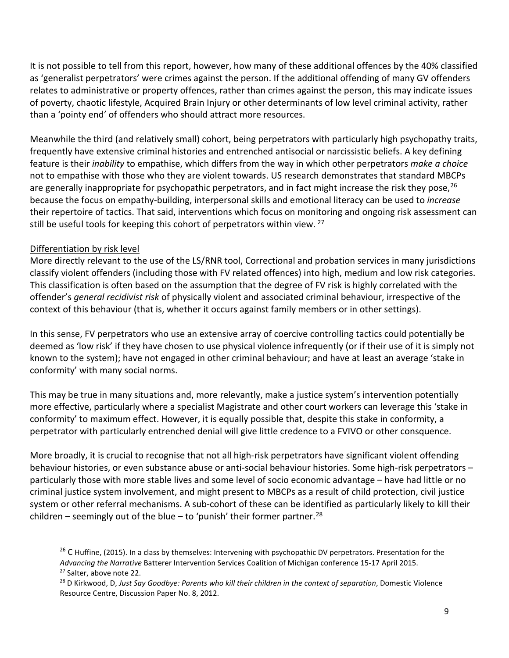It is not possible to tell from this report, however, how many of these additional offences by the 40% classified as 'generalist perpetrators' were crimes against the person. If the additional offending of many GV offenders relates to administrative or property offences, rather than crimes against the person, this may indicate issues of poverty, chaotic lifestyle, Acquired Brain Injury or other determinants of low level criminal activity, rather than a 'pointy end' of offenders who should attract more resources.

Meanwhile the third (and relatively small) cohort, being perpetrators with particularly high psychopathy traits, frequently have extensive criminal histories and entrenched antisocial or narcissistic beliefs. A key defining feature is their *inability* to empathise, which differs from the way in which other perpetrators *make a choice* not to empathise with those who they are violent towards. US research demonstrates that standard MBCPs are generally inappropriate for psychopathic perpetrators, and in fact might increase the risk they pose,  $^{26}$  $^{26}$  $^{26}$ because the focus on empathy-building, interpersonal skills and emotional literacy can be used to *increase* their repertoire of tactics. That said, interventions which focus on monitoring and ongoing risk assessment can still be useful tools for keeping this cohort of perpetrators within view. <sup>[27](#page-8-1)</sup>

#### Differentiation by risk level

 $\overline{\phantom{a}}$ 

More directly relevant to the use of the LS/RNR tool, Correctional and probation services in many jurisdictions classify violent offenders (including those with FV related offences) into high, medium and low risk categories. This classification is often based on the assumption that the degree of FV risk is highly correlated with the offender's *general recidivist risk* of physically violent and associated criminal behaviour, irrespective of the context of this behaviour (that is, whether it occurs against family members or in other settings).

In this sense, FV perpetrators who use an extensive array of coercive controlling tactics could potentially be deemed as 'low risk' if they have chosen to use physical violence infrequently (or if their use of it is simply not known to the system); have not engaged in other criminal behaviour; and have at least an average 'stake in conformity' with many social norms.

This may be true in many situations and, more relevantly, make a justice system's intervention potentially more effective, particularly where a specialist Magistrate and other court workers can leverage this 'stake in conformity' to maximum effect. However, it is equally possible that, despite this stake in conformity, a perpetrator with particularly entrenched denial will give little credence to a FVIVO or other consquence.

More broadly, it is crucial to recognise that not all high-risk perpetrators have significant violent offending behaviour histories, or even substance abuse or anti-social behaviour histories. Some high-risk perpetrators – particularly those with more stable lives and some level of socio economic advantage – have had little or no criminal justice system involvement, and might present to MBCPs as a result of child protection, civil justice system or other referral mechanisms. A sub-cohort of these can be identified as particularly likely to kill their children – seemingly out of the blue – to 'punish' their former partner.<sup>[28](#page-8-2)</sup>

<span id="page-8-0"></span><sup>&</sup>lt;sup>26</sup> C Huffine, (2015). In a class by themselves: Intervening with psychopathic DV perpetrators. Presentation for the *Advancing the Narrative* Batterer Intervention Services Coalition of Michigan conference 15-17 April 2015.<br><sup>27</sup> Salter, above note 22.

<span id="page-8-2"></span><span id="page-8-1"></span><sup>&</sup>lt;sup>28</sup> D Kirkwood, D, Just Say Goodbye: Parents who kill their children in the context of separation, Domestic Violence Resource Centre, Discussion Paper No. 8, 2012.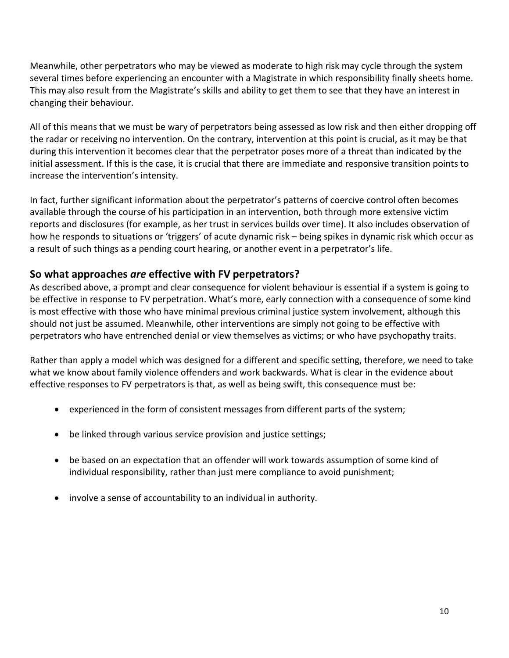Meanwhile, other perpetrators who may be viewed as moderate to high risk may cycle through the system several times before experiencing an encounter with a Magistrate in which responsibility finally sheets home. This may also result from the Magistrate's skills and ability to get them to see that they have an interest in changing their behaviour.

All of this means that we must be wary of perpetrators being assessed as low risk and then either dropping off the radar or receiving no intervention. On the contrary, intervention at this point is crucial, as it may be that during this intervention it becomes clear that the perpetrator poses more of a threat than indicated by the initial assessment. If this is the case, it is crucial that there are immediate and responsive transition points to increase the intervention's intensity.

In fact, further significant information about the perpetrator's patterns of coercive control often becomes available through the course of his participation in an intervention, both through more extensive victim reports and disclosures (for example, as her trust in services builds over time). It also includes observation of how he responds to situations or 'triggers' of acute dynamic risk – being spikes in dynamic risk which occur as a result of such things as a pending court hearing, or another event in a perpetrator's life.

# **So what approaches** *are* **effective with FV perpetrators?**

As described above, a prompt and clear consequence for violent behaviour is essential if a system is going to be effective in response to FV perpetration. What's more, early connection with a consequence of some kind is most effective with those who have minimal previous criminal justice system involvement, although this should not just be assumed. Meanwhile, other interventions are simply not going to be effective with perpetrators who have entrenched denial or view themselves as victims; or who have psychopathy traits.

Rather than apply a model which was designed for a different and specific setting, therefore, we need to take what we know about family violence offenders and work backwards. What is clear in the evidence about effective responses to FV perpetrators is that, as well as being swift, this consequence must be:

- experienced in the form of consistent messages from different parts of the system;
- be linked through various service provision and justice settings;
- be based on an expectation that an offender will work towards assumption of some kind of individual responsibility, rather than just mere compliance to avoid punishment;
- involve a sense of accountability to an individual in authority.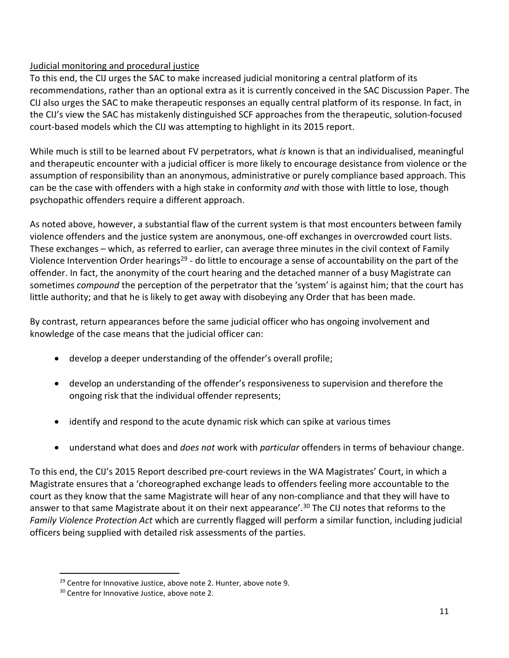## Judicial monitoring and procedural justice

To this end, the CIJ urges the SAC to make increased judicial monitoring a central platform of its recommendations, rather than an optional extra as it is currently conceived in the SAC Discussion Paper. The CIJ also urges the SAC to make therapeutic responses an equally central platform of its response. In fact, in the CIJ's view the SAC has mistakenly distinguished SCF approaches from the therapeutic, solution-focused court-based models which the CIJ was attempting to highlight in its 2015 report.

While much is still to be learned about FV perpetrators, what *is* known is that an individualised, meaningful and therapeutic encounter with a judicial officer is more likely to encourage desistance from violence or the assumption of responsibility than an anonymous, administrative or purely compliance based approach. This can be the case with offenders with a high stake in conformity *and* with those with little to lose, though psychopathic offenders require a different approach.

As noted above, however, a substantial flaw of the current system is that most encounters between family violence offenders and the justice system are anonymous, one-off exchanges in overcrowded court lists. These exchanges – which, as referred to earlier, can average three minutes in the civil context of Family Violence Intervention Order hearings<sup>[29](#page-10-0)</sup> - do little to encourage a sense of accountability on the part of the offender. In fact, the anonymity of the court hearing and the detached manner of a busy Magistrate can sometimes *compound* the perception of the perpetrator that the 'system' is against him; that the court has little authority; and that he is likely to get away with disobeying any Order that has been made.

By contrast, return appearances before the same judicial officer who has ongoing involvement and knowledge of the case means that the judicial officer can:

- develop a deeper understanding of the offender's overall profile;
- develop an understanding of the offender's responsiveness to supervision and therefore the ongoing risk that the individual offender represents;
- identify and respond to the acute dynamic risk which can spike at various times
- understand what does and *does not* work with *particular* offenders in terms of behaviour change.

To this end, the CIJ's 2015 Report described pre-court reviews in the WA Magistrates' Court, in which a Magistrate ensures that a 'choreographed exchange leads to offenders feeling more accountable to the court as they know that the same Magistrate will hear of any non-compliance and that they will have to answer to that same Magistrate about it on their next appearance'.<sup>[30](#page-10-1)</sup> The CIJ notes that reforms to the *Family Violence Protection Act* which are currently flagged will perform a similar function, including judicial officers being supplied with detailed risk assessments of the parties.

<span id="page-10-0"></span> $29$  Centre for Innovative Justice, above note 2. Hunter, above note 9.  $30$  Centre for Innovative Justice, above note 2.

<span id="page-10-1"></span>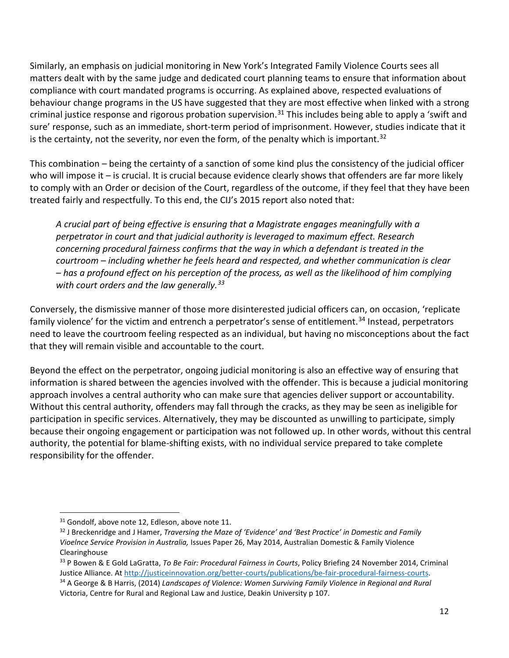Similarly, an emphasis on judicial monitoring in New York's Integrated Family Violence Courts sees all matters dealt with by the same judge and dedicated court planning teams to ensure that information about compliance with court mandated programs is occurring. As explained above, respected evaluations of behaviour change programs in the US have suggested that they are most effective when linked with a strong criminal justice response and rigorous probation supervision.<sup>[31](#page-11-0)</sup> This includes being able to apply a 'swift and sure' response, such as an immediate, short-term period of imprisonment. However, studies indicate that it is the certainty, not the severity, nor even the form, of the penalty which is important.<sup>[32](#page-11-1)</sup>

This combination – being the certainty of a sanction of some kind plus the consistency of the judicial officer who will impose it – is crucial. It is crucial because evidence clearly shows that offenders are far more likely to comply with an Order or decision of the Court, regardless of the outcome, if they feel that they have been treated fairly and respectfully. To this end, the CIJ's 2015 report also noted that:

*A crucial part of being effective is ensuring that a Magistrate engages meaningfully with a perpetrator in court and that judicial authority is leveraged to maximum effect. Research concerning procedural fairness confirms that the way in which a defendant is treated in the courtroom – including whether he feels heard and respected, and whether communication is clear – has a profound effect on his perception of the process, as well as the likelihood of him complying with court orders and the law generally.[33](#page-11-2)*

Conversely, the dismissive manner of those more disinterested judicial officers can, on occasion, 'replicate family violence' for the victim and entrench a perpetrator's sense of entitlement.<sup>[34](#page-11-3)</sup> Instead, perpetrators need to leave the courtroom feeling respected as an individual, but having no misconceptions about the fact that they will remain visible and accountable to the court.

Beyond the effect on the perpetrator, ongoing judicial monitoring is also an effective way of ensuring that information is shared between the agencies involved with the offender. This is because a judicial monitoring approach involves a central authority who can make sure that agencies deliver support or accountability. Without this central authority, offenders may fall through the cracks, as they may be seen as ineligible for participation in specific services. Alternatively, they may be discounted as unwilling to participate, simply because their ongoing engagement or participation was not followed up. In other words, without this central authority, the potential for blame-shifting exists, with no individual service prepared to take complete responsibility for the offender.

l

<span id="page-11-1"></span><span id="page-11-0"></span><sup>&</sup>lt;sup>31</sup> Gondolf, above note 12, Edleson, above note 11.<br><sup>32</sup> J Breckenridge and J Hamer, *Traversing the Maze of 'Evidence' and 'Best Practice' in Domestic and Family Vioelnce Service Provision in Australia,* Issues Paper 26, May 2014, Australian Domestic & Family Violence Clearinghouse

<span id="page-11-2"></span><sup>33</sup> P Bowen & E Gold LaGratta, *To Be Fair: Procedural Fairness in Courts*, Policy Briefing 24 November 2014, Criminal Justice Alliance. A[t http://justiceinnovation.org/better-courts/publications/be-fair-procedural-fairness-courts.](http://justiceinnovation.org/better-courts/publications/be-fair-procedural-fairness-courts)<br><sup>34</sup> A George & B Harris, (2014) Landscapes of Violence: Women Surviving Family Violence in Regional and Rura

<span id="page-11-3"></span>Victoria, Centre for Rural and Regional Law and Justice, Deakin University p 107.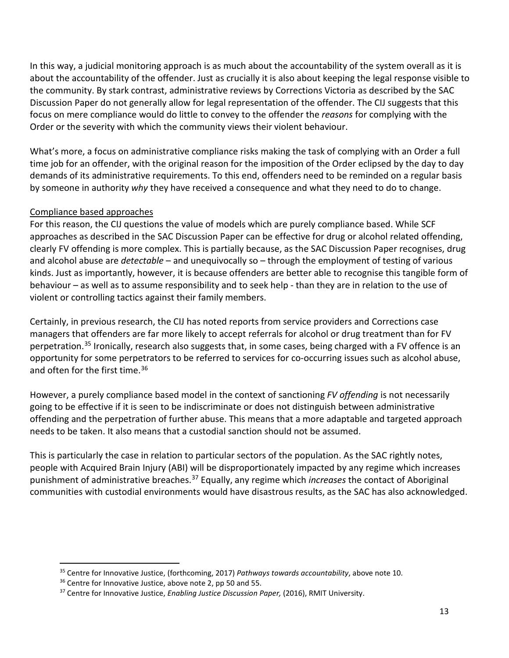In this way, a judicial monitoring approach is as much about the accountability of the system overall as it is about the accountability of the offender. Just as crucially it is also about keeping the legal response visible to the community. By stark contrast, administrative reviews by Corrections Victoria as described by the SAC Discussion Paper do not generally allow for legal representation of the offender. The CIJ suggests that this focus on mere compliance would do little to convey to the offender the *reasons* for complying with the Order or the severity with which the community views their violent behaviour.

What's more, a focus on administrative compliance risks making the task of complying with an Order a full time job for an offender, with the original reason for the imposition of the Order eclipsed by the day to day demands of its administrative requirements. To this end, offenders need to be reminded on a regular basis by someone in authority *why* they have received a consequence and what they need to do to change.

#### Compliance based approaches

l

For this reason, the CIJ questions the value of models which are purely compliance based. While SCF approaches as described in the SAC Discussion Paper can be effective for drug or alcohol related offending, clearly FV offending is more complex. This is partially because, as the SAC Discussion Paper recognises, drug and alcohol abuse are *detectable* – and unequivocally so – through the employment of testing of various kinds. Just as importantly, however, it is because offenders are better able to recognise this tangible form of behaviour – as well as to assume responsibility and to seek help - than they are in relation to the use of violent or controlling tactics against their family members.

Certainly, in previous research, the CIJ has noted reports from service providers and Corrections case managers that offenders are far more likely to accept referrals for alcohol or drug treatment than for FV perpetration.<sup>[35](#page-12-0)</sup> Ironically, research also suggests that, in some cases, being charged with a FV offence is an opportunity for some perpetrators to be referred to services for co-occurring issues such as alcohol abuse, and often for the first time.<sup>36</sup>

However, a purely compliance based model in the context of sanctioning *FV offending* is not necessarily going to be effective if it is seen to be indiscriminate or does not distinguish between administrative offending and the perpetration of further abuse. This means that a more adaptable and targeted approach needs to be taken. It also means that a custodial sanction should not be assumed.

This is particularly the case in relation to particular sectors of the population. As the SAC rightly notes, people with Acquired Brain Injury (ABI) will be disproportionately impacted by any regime which increases punishment of administrative breaches.[37](#page-12-2) Equally, any regime which *increases* the contact of Aboriginal communities with custodial environments would have disastrous results, as the SAC has also acknowledged.

<span id="page-12-1"></span><span id="page-12-0"></span><sup>&</sup>lt;sup>35</sup> Centre for Innovative Justice, (forthcoming, 2017) *Pathways towards accountability*, above note 10.<br><sup>36</sup> Centre for Innovative Justice, above note 2, pp 50 and 55.<br><sup>37</sup> Centre for Innovative Justice, *Enabling Justi* 

<span id="page-12-2"></span>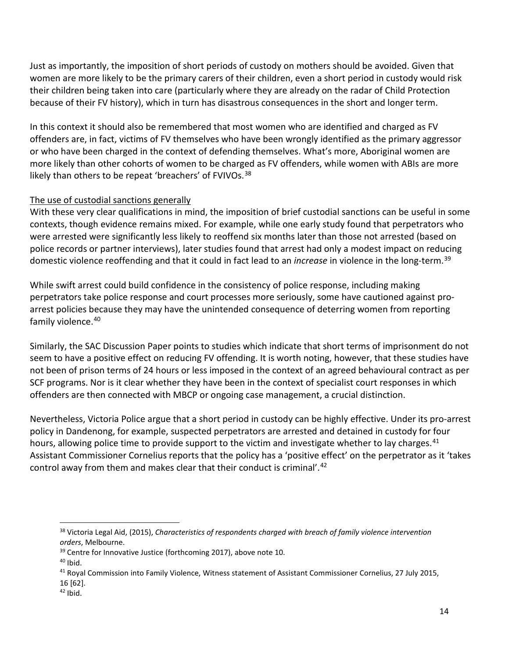Just as importantly, the imposition of short periods of custody on mothers should be avoided. Given that women are more likely to be the primary carers of their children, even a short period in custody would risk their children being taken into care (particularly where they are already on the radar of Child Protection because of their FV history), which in turn has disastrous consequences in the short and longer term.

In this context it should also be remembered that most women who are identified and charged as FV offenders are, in fact, victims of FV themselves who have been wrongly identified as the primary aggressor or who have been charged in the context of defending themselves. What's more, Aboriginal women are more likely than other cohorts of women to be charged as FV offenders, while women with ABIs are more likely than others to be repeat 'breachers' of FVIVOs.<sup>[38](#page-13-0)</sup>

#### The use of custodial sanctions generally

With these very clear qualifications in mind, the imposition of brief custodial sanctions can be useful in some contexts, though evidence remains mixed. For example, while one early study found that perpetrators who were arrested were significantly less likely to reoffend six months later than those not arrested (based on police records or partner interviews), later studies found that arrest had only a modest impact on reducing domestic violence reoffending and that it could in fact lead to an *increase* in violence in the long-term[.39](#page-13-1)

While swift arrest could build confidence in the consistency of police response, including making perpetrators take police response and court processes more seriously, some have cautioned against proarrest policies because they may have the unintended consequence of deterring women from reporting family violence.<sup>[40](#page-13-2)</sup>

Similarly, the SAC Discussion Paper points to studies which indicate that short terms of imprisonment do not seem to have a positive effect on reducing FV offending. It is worth noting, however, that these studies have not been of prison terms of 24 hours or less imposed in the context of an agreed behavioural contract as per SCF programs. Nor is it clear whether they have been in the context of specialist court responses in which offenders are then connected with MBCP or ongoing case management, a crucial distinction.

Nevertheless, Victoria Police argue that a short period in custody can be highly effective. Under its pro-arrest policy in Dandenong, for example, suspected perpetrators are arrested and detained in custody for four hours, allowing police time to provide support to the victim and investigate whether to lay charges.<sup>[41](#page-13-3)</sup> Assistant Commissioner Cornelius reports that the policy has a 'positive effect' on the perpetrator as it 'takes control away from them and makes clear that their conduct is criminal'.[42](#page-13-4)

<span id="page-13-0"></span><sup>38</sup> Victoria Legal Aid, (2015), *Characteristics of respondents charged with breach of family violence intervention* 

orders, Melbourne.<br><sup>39</sup> Centre for Innovative Justice (forthcoming 2017), above note 10.<br><sup>40</sup> Ibid.

<span id="page-13-2"></span><span id="page-13-1"></span>

<span id="page-13-3"></span><sup>41</sup> Royal Commission into Family Violence, Witness statement of Assistant Commissioner Cornelius, 27 July 2015, 16 [62].

<span id="page-13-4"></span> $42$  Ibid.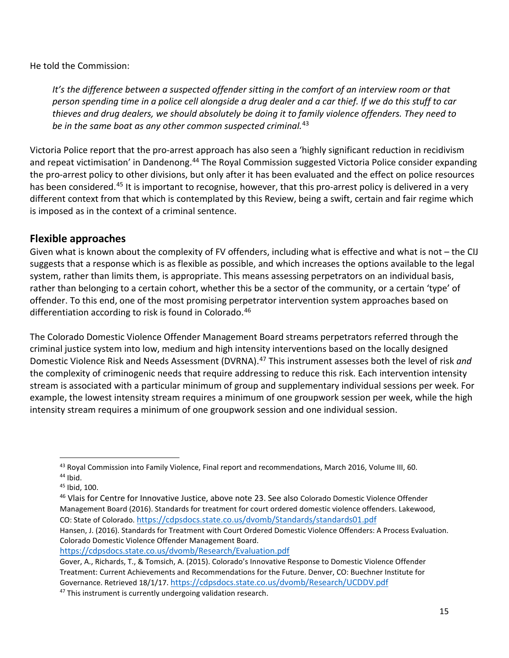He told the Commission:

It's the difference between a suspected offender sitting in the comfort of an interview room or that *person spending time in a police cell alongside a drug dealer and a car thief. If we do this stuff to car thieves and drug dealers, we should absolutely be doing it to family violence offenders. They need to be in the same boat as any other common suspected criminal.*[43](#page-14-0)

Victoria Police report that the pro-arrest approach has also seen a 'highly significant reduction in recidivism and repeat victimisation' in Dandenong.<sup>44</sup> The Royal Commission suggested Victoria Police consider expanding the pro-arrest policy to other divisions, but only after it has been evaluated and the effect on police resources has been considered.<sup>[45](#page-14-2)</sup> It is important to recognise, however, that this pro-arrest policy is delivered in a very different context from that which is contemplated by this Review, being a swift, certain and fair regime which is imposed as in the context of a criminal sentence.

## **Flexible approaches**

Given what is known about the complexity of FV offenders, including what is effective and what is not – the CIJ suggests that a response which is as flexible as possible, and which increases the options available to the legal system, rather than limits them, is appropriate. This means assessing perpetrators on an individual basis, rather than belonging to a certain cohort, whether this be a sector of the community, or a certain 'type' of offender. To this end, one of the most promising perpetrator intervention system approaches based on differentiation according to risk is found in Colorado.<sup>[46](#page-14-3)</sup>

The Colorado Domestic Violence Offender Management Board streams perpetrators referred through the criminal justice system into low, medium and high intensity interventions based on the locally designed Domestic Violence Risk and Needs Assessment (DVRNA). [47](#page-14-4) This instrument assesses both the level of risk *and* the complexity of criminogenic needs that require addressing to reduce this risk. Each intervention intensity stream is associated with a particular minimum of group and supplementary individual sessions per week. For example, the lowest intensity stream requires a minimum of one groupwork session per week, while the high intensity stream requires a minimum of one groupwork session and one individual session.

 $\overline{\phantom{a}}$ 

Colorado Domestic Violence Offender Management Board.

<https://cdpsdocs.state.co.us/dvomb/Research/Evaluation.pdf>

<span id="page-14-1"></span><span id="page-14-0"></span><sup>&</sup>lt;sup>43</sup> Royal Commission into Family Violence, Final report and recommendations, March 2016, Volume III, 60.  $44$  Ibid.

<span id="page-14-2"></span>

<sup>45</sup> Ibid, 100.

<span id="page-14-3"></span><sup>&</sup>lt;sup>46</sup> Vlais for Centre for Innovative Justice, above note 23. See also Colorado Domestic Violence Offender Management Board (2016). Standards for treatment for court ordered domestic violence offenders. Lakewood, CO: State of Colorado[. https://cdpsdocs.state.co.us/dvomb/Standards/standards01.pdf](https://cdpsdocs.state.co.us/dvomb/Standards/standards01.pdf) Hansen, J. (2016). [Standards for Treatment with Court Ordered Domestic Violence Offenders: A Process Evaluation.](https://cdpsdocs.state.co.us/dvomb/Research/Evaluation.pdf) 

Gover, A., Richards, T., & Tomsich, A. (2015). Colorado's Innovative Response to Domestic Violence Offender Treatment: Current Achievements and Recommendations for the Future. Denver, CO: Buechner Institute for Governance. Retrieved 18/1/17.<https://cdpsdocs.state.co.us/dvomb/Research/UCDDV.pdf>

<span id="page-14-4"></span><sup>&</sup>lt;sup>47</sup> This instrument is currently undergoing validation research.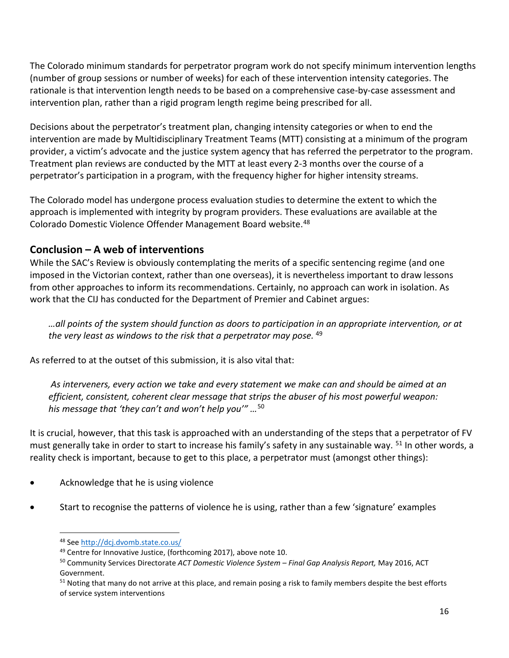The Colorado minimum standards for perpetrator program work do not specify minimum intervention lengths (number of group sessions or number of weeks) for each of these intervention intensity categories. The rationale is that intervention length needs to be based on a comprehensive case-by-case assessment and intervention plan, rather than a rigid program length regime being prescribed for all.

Decisions about the perpetrator's treatment plan, changing intensity categories or when to end the intervention are made by Multidisciplinary Treatment Teams (MTT) consisting at a minimum of the program provider, a victim's advocate and the justice system agency that has referred the perpetrator to the program. Treatment plan reviews are conducted by the MTT at least every 2-3 months over the course of a perpetrator's participation in a program, with the frequency higher for higher intensity streams.

The Colorado model has undergone process evaluation studies to determine the extent to which the approach is implemented with integrity by program providers. These evaluations are available at the Colorado Domestic Violence Offender Management Board website.[48](#page-15-0)

# **Conclusion – A web of interventions**

While the SAC's Review is obviously contemplating the merits of a specific sentencing regime (and one imposed in the Victorian context, rather than one overseas), it is nevertheless important to draw lessons from other approaches to inform its recommendations. Certainly, no approach can work in isolation. As work that the CIJ has conducted for the Department of Premier and Cabinet argues:

*…all points of the system should function as doors to participation in an appropriate intervention, or at the very least as windows to the risk that a perpetrator may pose.* [49](#page-15-1)

As referred to at the outset of this submission, it is also vital that:

*As interveners, every action we take and every statement we make can and should be aimed at an efficient, consistent, coherent clear message that strips the abuser of his most powerful weapon: his message that 'they can't and won't help you'" …*[50](#page-15-2)

It is crucial, however, that this task is approached with an understanding of the steps that a perpetrator of FV must generally take in order to start to increase his family's safety in any sustainable way. <sup>[51](#page-15-3)</sup> In other words, a reality check is important, because to get to this place, a perpetrator must (amongst other things):

- Acknowledge that he is using violence
- <span id="page-15-1"></span><span id="page-15-0"></span>• Start to recognise the patterns of violence he is using, rather than a few 'signature' examples

<sup>48</sup> Se[e http://dcj.dvomb.state.co.us/](http://dcj.dvomb.state.co.us/)  $\overline{\phantom{a}}$ 

<span id="page-15-2"></span><sup>&</sup>lt;sup>49</sup> Centre for Innovative Justice, (forthcoming 2017), above note 10.<br><sup>50</sup> Community Services Directorate *ACT Domestic Violence System – Final Gap Analysis Report, May 2016, ACT* Government.

<span id="page-15-3"></span><sup>&</sup>lt;sup>51</sup> Noting that many do not arrive at this place, and remain posing a risk to family members despite the best efforts of service system interventions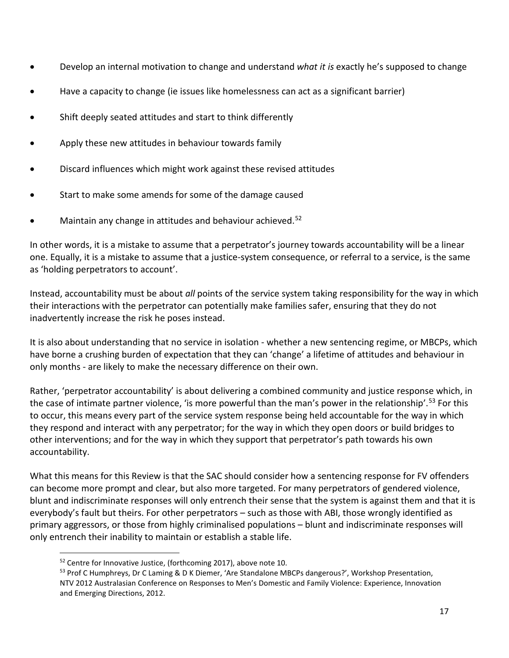- Develop an internal motivation to change and understand *what it is* exactly he's supposed to change
- Have a capacity to change (ie issues like homelessness can act as a significant barrier)
- Shift deeply seated attitudes and start to think differently
- Apply these new attitudes in behaviour towards family
- Discard influences which might work against these revised attitudes
- Start to make some amends for some of the damage caused
- Maintain any change in attitudes and behaviour achieved.<sup>[52](#page-16-0)</sup>

In other words, it is a mistake to assume that a perpetrator's journey towards accountability will be a linear one. Equally, it is a mistake to assume that a justice-system consequence, or referral to a service, is the same as 'holding perpetrators to account'.

Instead, accountability must be about *all* points of the service system taking responsibility for the way in which their interactions with the perpetrator can potentially make families safer, ensuring that they do not inadvertently increase the risk he poses instead.

It is also about understanding that no service in isolation - whether a new sentencing regime, or MBCPs, which have borne a crushing burden of expectation that they can 'change' a lifetime of attitudes and behaviour in only months - are likely to make the necessary difference on their own.

Rather, 'perpetrator accountability' is about delivering a combined community and justice response which, in the case of intimate partner violence, 'is more powerful than the man's power in the relationship'.<sup>[53](#page-16-1)</sup> For this to occur, this means every part of the service system response being held accountable for the way in which they respond and interact with any perpetrator; for the way in which they open doors or build bridges to other interventions; and for the way in which they support that perpetrator's path towards his own accountability.

What this means for this Review is that the SAC should consider how a sentencing response for FV offenders can become more prompt and clear, but also more targeted. For many perpetrators of gendered violence, blunt and indiscriminate responses will only entrench their sense that the system is against them and that it is everybody's fault but theirs. For other perpetrators – such as those with ABI, those wrongly identified as primary aggressors, or those from highly criminalised populations – blunt and indiscriminate responses will only entrench their inability to maintain or establish a stable life.

<span id="page-16-1"></span><span id="page-16-0"></span> $52$  Centre for Innovative Justice, (forthcoming 2017), above note 10.<br> $53$  Prof C Humphreys, Dr C Laming & D K Diemer, 'Are Standalone MBCPs dangerous?', Workshop Presentation, NTV 2012 Australasian Conference on Responses to Men's Domestic and Family Violence: Experience, Innovation and Emerging Directions, 2012.